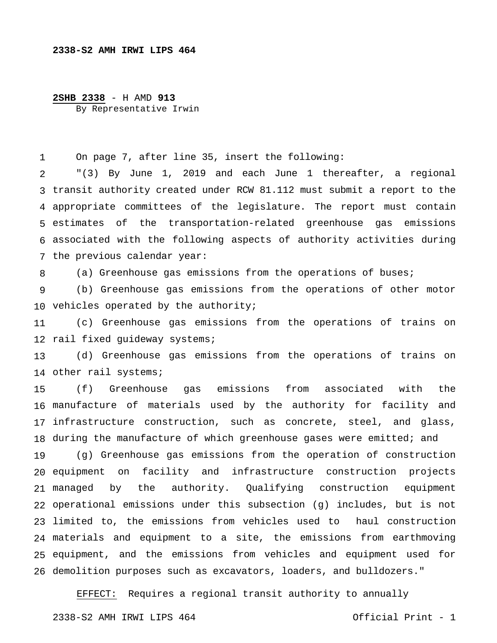## **2338-S2 AMH IRWI LIPS 464**

## **2SHB 2338** - H AMD **913** By Representative Irwin

1 On page 7, after line 35, insert the following:

2 transit authority created under RCW 81.112 must submit a report to the appropriate committees of the legislature. The report must contain estimates of the transportation-related greenhouse gas emissions associated with the following aspects of authority activities during the previous calendar year: "(3) By June 1, 2019 and each June 1 thereafter, a regional

8 (a) Greenhouse gas emissions from the operations of buses;

9 10 vehicles operated by the authority; (b) Greenhouse gas emissions from the operations of other motor

11 12 rail fixed guideway systems; (c) Greenhouse gas emissions from the operations of trains on

13 14 other rail systems; (d) Greenhouse gas emissions from the operations of trains on

15 16 manufacture of materials used by the authority for facility and 17 infrastructure construction, such as concrete, steel, and glass, 18 during the manufacture of which greenhouse gases were emitted; and (f) Greenhouse gas emissions from associated with the

19 20 equipment on facility and infrastructure construction projects 21 managed by 22 operational emissions under this subsection (g) includes, but is not 23 limited to, the emissions from vehicles used to haul construction 24 materials and equipment to a site, the emissions from earthmoving 25 equipment, and the emissions from vehicles and equipment used for 26 demolition purposes such as excavators, loaders, and bulldozers." (g) Greenhouse gas emissions from the operation of construction the authority. Qualifying construction equipment

EFFECT: Requires a regional transit authority to annually